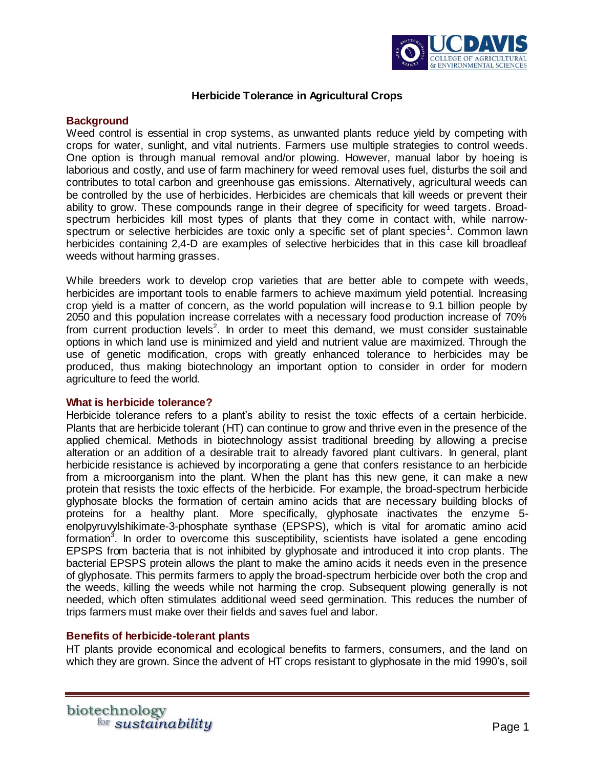

## **Herbicide Tolerance in Agricultural Crops**

### **Background**

Weed control is essential in crop systems, as unwanted plants reduce yield by competing with crops for water, sunlight, and vital nutrients. Farmers use multiple strategies to control weeds. One option is through manual removal and/or plowing. However, manual labor by hoeing is laborious and costly, and use of farm machinery for weed removal uses fuel, disturbs the soil and contributes to total carbon and greenhouse gas emissions. Alternatively, agricultural weeds can be controlled by the use of herbicides. Herbicides are chemicals that kill weeds or prevent their ability to grow. These compounds range in their degree of specificity for weed targets. Broadspectrum herbicides kill most types of plants that they come in contact with, while narrowspectrum or selective herbicides are toxic only a specific set of plant species<sup>1</sup>. Common lawn herbicides containing 2,4-D are examples of selective herbicides that in this case kill broadleaf weeds without harming grasses.

While breeders work to develop crop varieties that are better able to compete with weeds, herbicides are important tools to enable farmers to achieve maximum yield potential. Increasing crop yield is a matter of concern, as the world population will increase to 9.1 billion people by 2050 and this population increase correlates with a necessary food production increase of 70% from current production levels<sup>2</sup>. In order to meet this demand, we must consider sustainable options in which land use is minimized and yield and nutrient value are maximized. Through the use of genetic modification, crops with greatly enhanced tolerance to herbicides may be produced, thus making biotechnology an important option to consider in order for modern agriculture to feed the world.

### **What is herbicide tolerance?**

Herbicide tolerance refers to a plant's ability to resist the toxic effects of a certain herbicide. Plants that are herbicide tolerant (HT) can continue to grow and thrive even in the presence of the applied chemical. Methods in biotechnology assist traditional breeding by allowing a precise alteration or an addition of a desirable trait to already favored plant cultivars. In general, plant herbicide resistance is achieved by incorporating a gene that confers resistance to an herbicide from a microorganism into the plant. When the plant has this new gene, it can make a new protein that resists the toxic effects of the herbicide. For example, the broad-spectrum herbicide glyphosate blocks the formation of certain amino acids that are necessary building blocks of proteins for a healthy plant. More specifically, glyphosate inactivates the enzyme 5 enolpyruvylshikimate-3-phosphate synthase (EPSPS), which is vital for aromatic amino acid formation<sup>3</sup>. In order to overcome this susceptibility, scientists have isolated a gene encoding EPSPS from bacteria that is not inhibited by glyphosate and introduced it into crop plants. The bacterial EPSPS protein allows the plant to make the amino acids it needs even in the presence of glyphosate. This permits farmers to apply the broad-spectrum herbicide over both the crop and the weeds, killing the weeds while not harming the crop. Subsequent plowing generally is not needed, which often stimulates additional weed seed germination. This reduces the number of trips farmers must make over their fields and saves fuel and labor.

# **Benefits of herbicide-tolerant plants**

HT plants provide economical and ecological benefits to farmers, consumers, and the land on which they are grown. Since the advent of HT crops resistant to glyphosate in the mid 1990's, soil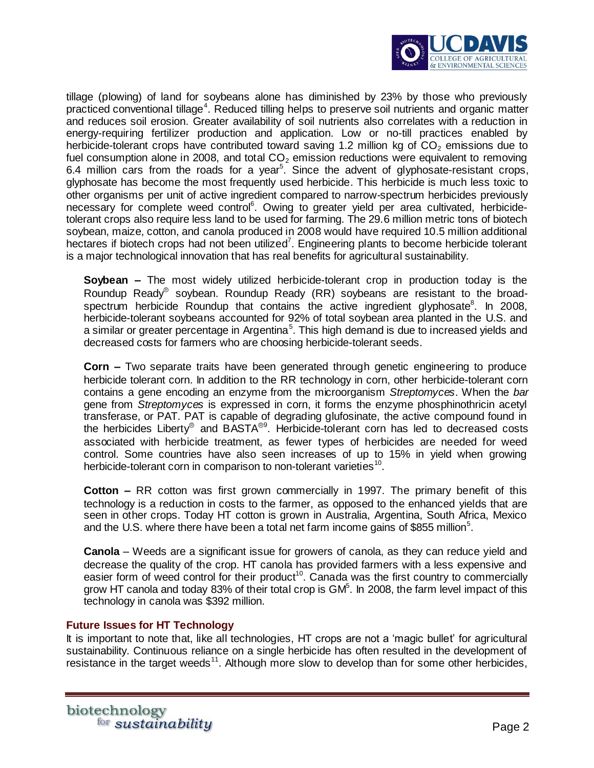

tillage (plowing) of land for soybeans alone has diminished by 23% by those who previously practiced conventional tillage<sup>4</sup>. Reduced tilling helps to preserve soil nutrients and organic matter and reduces soil erosion. Greater availability of soil nutrients also correlates with a reduction in energy-requiring fertilizer production and application. Low or no-till practices enabled by herbicide-tolerant crops have contributed toward saving 1.2 million kg of  $CO<sub>2</sub>$  emissions due to fuel consumption alone in 2008, and total  $CO<sub>2</sub>$  emission reductions were equivalent to removing 6.4 million cars from the roads for a year<sup>5</sup>. Since the advent of glyphosate-resistant crops, glyphosate has become the most frequently used herbicide. This herbicide is much less toxic to other organisms per unit of active ingredient compared to narrow-spectrum herbicides previously necessary for complete weed control<sup>6</sup>. Owing to greater yield per area cultivated, herbicidetolerant crops also require less land to be used for farming. The 29.6 million metric tons of biotech soybean, maize, cotton, and canola produced in 2008 would have required 10.5 million additional hectares if biotech crops had not been utilized<sup>7</sup>. Engineering plants to become herbicide tolerant is a major technological innovation that has real benefits for agricultural sustainability.

**Soybean –** The most widely utilized herbicide-tolerant crop in production today is the Roundup Ready<sup>®</sup> soybean. Roundup Ready  $(RR)$  soybeans are resistant to the broadspectrum herbicide Roundup that contains the active ingredient glyphosate<sup>8</sup>. In 2008, herbicide-tolerant soybeans accounted for 92% of total soybean area planted in the U.S. and a similar or greater percentage in Argentina<sup>5</sup>. This high demand is due to increased yields and decreased costs for farmers who are choosing herbicide-tolerant seeds.

**Corn** *–* Two separate traits have been generated through genetic engineering to produce herbicide tolerant corn. In addition to the RR technology in corn, other herbicide-tolerant corn contains a gene encoding an enzyme from the microorganism *Streptomyces*. When the *bar* gene from *Streptomyces* is expressed in corn, it forms the enzyme phosphinothricin acetyl transferase, or PAT. PAT is capable of degrading glufosinate, the active compound found in the herbicides Liberty® and BASTA®9. Herbicide-tolerant corn has led to decreased costs associated with herbicide treatment, as fewer types of herbicides are needed for weed control. Some countries have also seen increases of up to 15% in yield when growing herbicide-tolerant corn in comparison to non-tolerant varieties $^{10}$ .

**Cotton –** RR cotton was first grown commercially in 1997. The primary benefit of this technology is a reduction in costs to the farmer, as opposed to the enhanced yields that are seen in other crops. Today HT cotton is grown in Australia, Argentina, South Africa, Mexico and the U.S. where there have been a total net farm income gains of \$855 million<sup>5</sup>.

**Canola** – Weeds are a significant issue for growers of canola, as they can reduce yield and decrease the quality of the crop. HT canola has provided farmers with a less expensive and easier form of weed control for their product<sup>10</sup>. Canada was the first country to commercially grow HT canola and today 83% of their total crop is  $GM<sup>5</sup>$ . In 2008, the farm level impact of this technology in canola was \$392 million.

# **Future Issues for HT Technology**

It is important to note that, like all technologies, HT crops are not a 'magic bullet' for agricultural sustainability. Continuous reliance on a single herbicide has often resulted in the development of resistance in the target weeds<sup>11</sup>. Although more slow to develop than for some other herbicides,